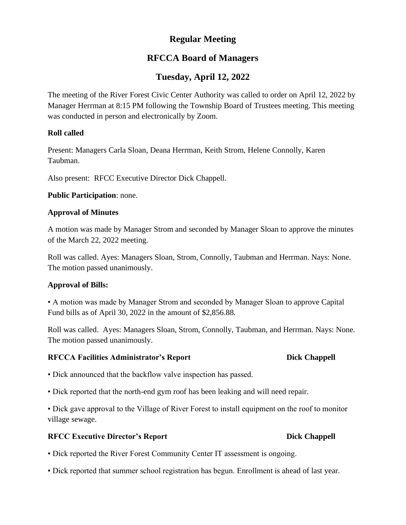# **Regular Meeting**

# **RFCCA Board of Managers**

# **Tuesday, April 12, 2022**

The meeting of the River Forest Civic Center Authority was called to order on April 12, 2022 by Manager Herrman at 8:15 PM following the Township Board of Trustees meeting. This meeting was conducted in person and electronically by Zoom.

## **Roll called**

Present: Managers Carla Sloan, Deana Herrman, Keith Strom, Helene Connolly, Karen Taubman.

Also present: RFCC Executive Director Dick Chappell.

**Public Participation**: none.

## **Approval of Minutes**

A motion was made by Manager Strom and seconded by Manager Sloan to approve the minutes of the March 22, 2022 meeting.

Roll was called. Ayes: Managers Sloan, Strom, Connolly, Taubman and Herrman. Nays: None. The motion passed unanimously.

## **Approval of Bills:**

• A motion was made by Manager Strom and seconded by Manager Sloan to approve Capital Fund bills as of April 30, 2022 in the amount of \$2,856.88.

Roll was called. Ayes: Managers Sloan, Strom, Connolly, Taubman, and Herrman. Nays: None. The motion passed unanimously.

## **RFCCA Facilities Administrator's Report Dick Chappell**

- Dick announced that the backflow valve inspection has passed.
- Dick reported that the north-end gym roof has been leaking and will need repair.

• Dick gave approval to the Village of River Forest to install equipment on the roof to monitor village sewage.

## **RFCC Executive Director's Report Dick Chappell**

- Dick reported the River Forest Community Center IT assessment is ongoing.
- Dick reported that summer school registration has begun. Enrollment is ahead of last year.